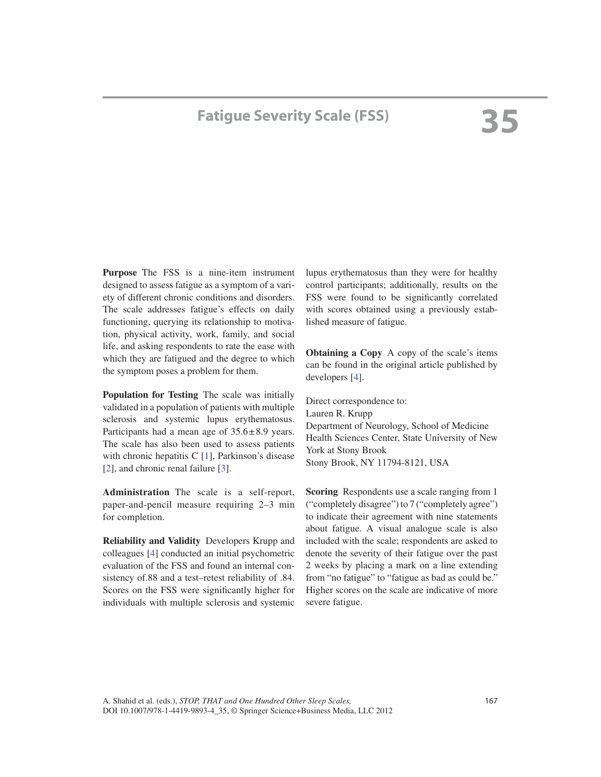## **Fatigue Severity Scale (FSS)**

 **Purpose** The FSS is a nine-item instrument designed to assess fatigue as a symptom of a variety of different chronic conditions and disorders. The scale addresses fatigue's effects on daily functioning, querying its relationship to motivation, physical activity, work, family, and social life, and asking respondents to rate the ease with which they are fatigued and the degree to which the symptom poses a problem for them.

 **Population for Testing** The scale was initially validated in a population of patients with multiple sclerosis and systemic lupus erythematosus. Participants had a mean age of  $35.6 \pm 8.9$  years. The scale has also been used to assess patients with chronic hepatitis  $C_{1}$ , Parkinson's disease [2], and chronic renal failure [3].

 **Administration** The scale is a self-report, paper-and-pencil measure requiring 2–3 min for completion.

 **Reliability and Validity** Developers Krupp and colleagues [4] conducted an initial psychometric evaluation of the FSS and found an internal consistency of.88 and a test–retest reliability of .84. Scores on the FSS were significantly higher for individuals with multiple sclerosis and systemic lupus erythematosus than they were for healthy control participants; additionally, results on the FSS were found to be significantly correlated with scores obtained using a previously established measure of fatigue.

 **Obtaining a Copy** A copy of the scale's items can be found in the original article published by developers [4].

 Direct correspondence to: Lauren R. Krupp Department of Neurology, School of Medicine Health Sciences Center, State University of New York at Stony Brook Stony Brook, NY 11794-8121, USA

 **Scoring** Respondents use a scale ranging from 1 ("completely disagree") to 7 ("completely agree") to indicate their agreement with nine statements about fatigue. A visual analogue scale is also included with the scale; respondents are asked to denote the severity of their fatigue over the past 2 weeks by placing a mark on a line extending from "no fatigue" to "fatigue as bad as could be." Higher scores on the scale are indicative of more severe fatigue.